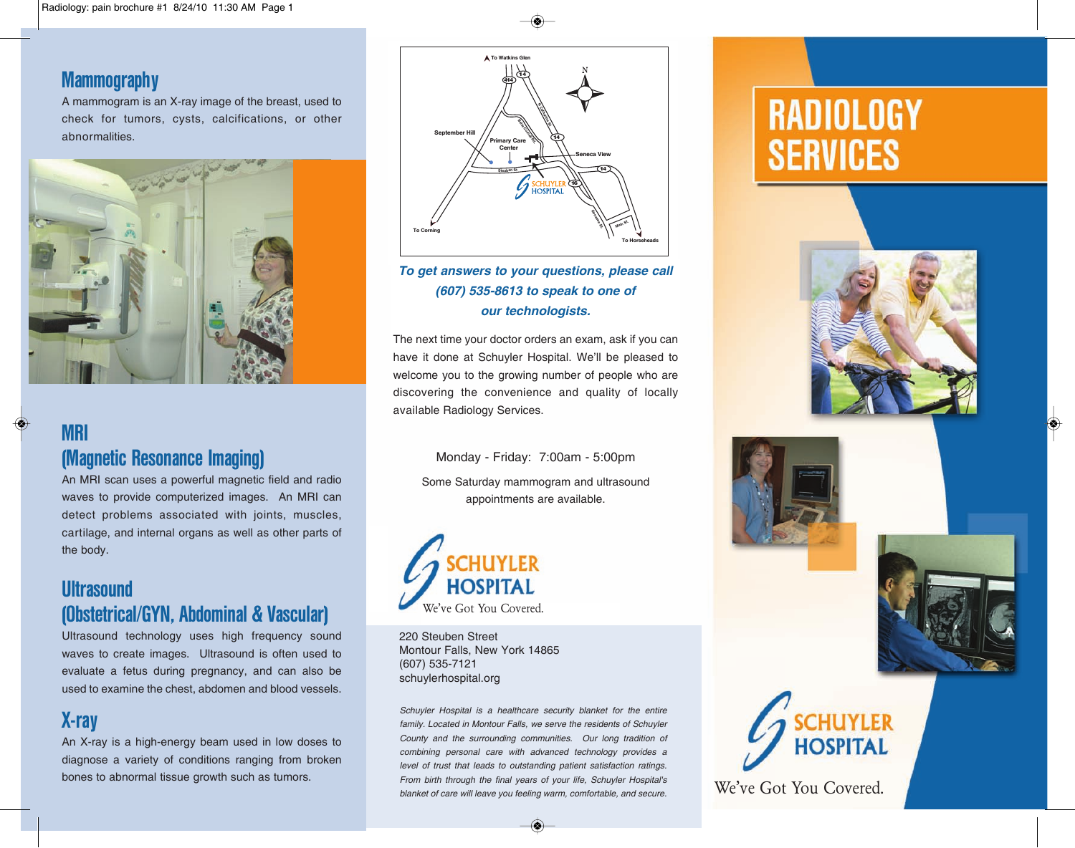#### **Mammography**

A mammogram is an X-ray image of the breast, used to check for tumors, cysts, calcifications, or other abnormalities.



# MRI

(Magnetic Resonance Imaging) An MRI scan uses a powerful magnetic field and radio

waves to provide computerized images. An MRI can detect problems associated with joints, muscles, cartilage, and internal organs as well as other parts of the body.

## **Ultrasound** (Obstetrical/GYN, Abdominal & Vascular)

Ultrasound technology uses high frequency sound waves to create images. Ultrasound is often used to evaluate a fetus during pregnancy, and can also be used to examine the chest, abdomen and blood vessels.

## X-ray

An X-ray is a high-energy beam used in low doses to diagnose a variety of conditions ranging from broken bones to abnormal tissue growth such as tumors.



#### **To get answers to your questions, please call (607) 535-8613 to speak to one of our technologists.**

The next time your doctor orders an exam, ask if you can have it done at Schuyler Hospital. We'll be pleased to welcome you to the growing number of people who are discovering the convenience and quality of locally available Radiology Services.

Monday - Friday: 7:00am - 5:00pm Some Saturday mammogram and ultrasound appointments are available.



220 Steuben Street Montour Falls, New York 14865 (607) 535-7121 schuylerhospital.org

Schuyler Hospital is a healthcare security blanket for the entire family. Located in Montour Falls, we serve the residents of Schuyler County and the surrounding communities. Our long tradition of combining personal care with advanced technology provides a level of trust that leads to outstanding patient satisfaction ratings. From birth through the final years of your life, Schuyler Hospital's blanket of care will leave you feeling warm, comfortable, and secure.

# **RADIOLOGY SERVICES**









We've Got You Covered.